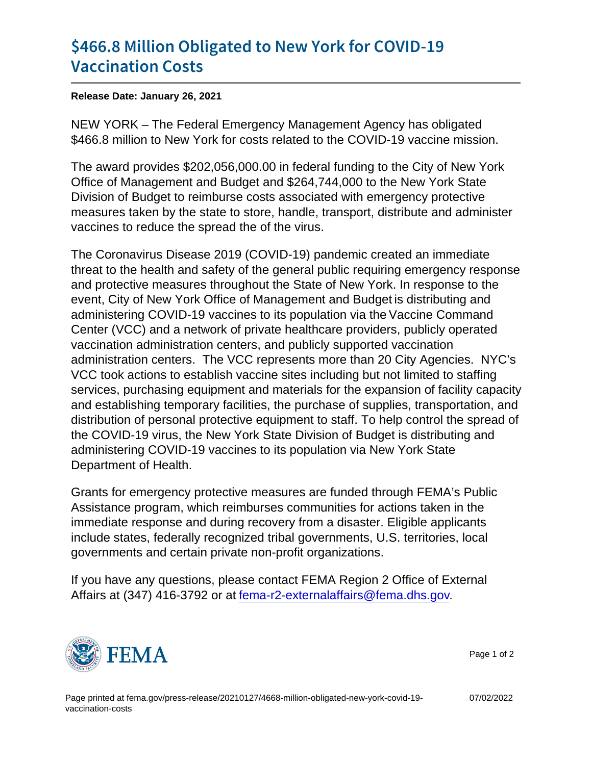## [\\$466.8 Million Obligated to Ne](https://www.fema.gov/press-release/20210127/4668-million-obligated-new-york-covid-19-vaccination-costs)w York for [Vaccinatio](https://www.fema.gov/press-release/20210127/4668-million-obligated-new-york-covid-19-vaccination-costs)n Costs

Release Date: January 26, 2021

NEW YORK – The Federal Emergency Management Agency has obligated \$466.8 million to New York for costs related to the COVID-19 vaccine mission.

The award provides \$202,056,000.00 in federal funding to the City of New York Office of Management and Budget and \$264,744,000 to the New York State Division of Budget to reimburse costs associated with emergency protective measures taken by the state to store, handle, transport, distribute and administer vaccines to reduce the spread the of the virus.

The Coronavirus Disease 2019 (COVID-19) pandemic created an immediate threat to the health and safety of the general public requiring emergency response and protective measures throughout the State of New York. In response to the event, City of New York Office of Management and Budget is distributing and administering COVID-19 vaccines to its population via the Vaccine Command Center (VCC) and a network of private healthcare providers, publicly operated vaccination administration centers, and publicly supported vaccination administration centers. The VCC represents more than 20 City Agencies. NYC's VCC took actions to establish vaccine sites including but not limited to staffing services, purchasing equipment and materials for the expansion of facility capacity and establishing temporary facilities, the purchase of supplies, transportation, and distribution of personal protective equipment to staff. To help control the spread of the COVID-19 virus, the New York State Division of Budget is distributing and administering COVID-19 vaccines to its population via New York State Department of Health.

Grants for emergency protective measures are funded through FEMA's Public Assistance program, which reimburses communities for actions taken in the immediate response and during recovery from a disaster. Eligible applicants include states, federally recognized tribal governments, U.S. territories, local governments and certain private non-profit organizations.

If you have any questions, please contact FEMA Region 2 Office of External Affairs at (347) 416-3792 or at [fema-r2-externalaffairs@fema.dhs.gov.](mailto:fema-r2-externalaffairs@fema.dhs.gov)



Page 1 of 2